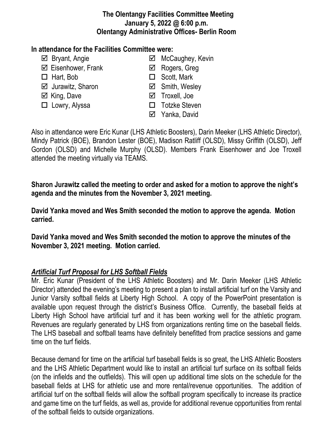#### **The Olentangy Facilities Committee Meeting January 5, 2022 @ 6:00 p.m. Olentangy Administrative Offices- Berlin Room**

### **In attendance for the Facilities Committee were:**

- 
- $\boxtimes$  Eisenhower, Frank  $\boxtimes$  Rogers, Greg
- 
- $\boxtimes$  Jurawitz, Sharon  $\boxtimes$  Smith, Wesley
- 
- 
- $\boxtimes$  Bryant, Angie **MacCaughey, Kevin** 
	-
- $\Box$  Hart, Bob  $\Box$  Scott, Mark
	-
- **Ø** King. Dave **Troxell**, Joe
- □ Lowry, Alyssa <br>□ Totzke Steven
	- Yanka, David

Also in attendance were Eric Kunar (LHS Athletic Boosters), Darin Meeker (LHS Athletic Director), Mindy Patrick (BOE), Brandon Lester (BOE), Madison Ratliff (OLSD), Missy Griffith (OLSD), Jeff Gordon (OLSD) and Michelle Murphy (OLSD). Members Frank Eisenhower and Joe Troxell attended the meeting virtually via TEAMS.

**Sharon Jurawitz called the meeting to order and asked for a motion to approve the night's agenda and the minutes from the November 3, 2021 meeting.**

**David Yanka moved and Wes Smith seconded the motion to approve the agenda. Motion carried.**

**David Yanka moved and Wes Smith seconded the motion to approve the minutes of the November 3, 2021 meeting. Motion carried.**

# *Artificial Turf Proposal for LHS Softball Fields*

Mr. Eric Kunar (President of the LHS Athletic Boosters) and Mr. Darin Meeker (LHS Athletic Director) attended the evening's meeting to present a plan to install artificial turf on the Varsity and Junior Varsity softball fields at Liberty High School. A copy of the PowerPoint presentation is available upon request through the district's Business Office. Currently, the baseball fields at Liberty High School have artificial turf and it has been working well for the athletic program. Revenues are regularly generated by LHS from organizations renting time on the baseball fields. The LHS baseball and softball teams have definitely benefitted from practice sessions and game time on the turf fields.

Because demand for time on the artificial turf baseball fields is so great, the LHS Athletic Boosters and the LHS Athletic Department would like to install an artificial turf surface on its softball fields (on the infields and the outfields). This will open up additional time slots on the schedule for the baseball fields at LHS for athletic use and more rental/revenue opportunities. The addition of artificial turf on the softball fields will allow the softball program specifically to increase its practice and game time on the turf fields, as well as, provide for additional revenue opportunities from rental of the softball fields to outside organizations.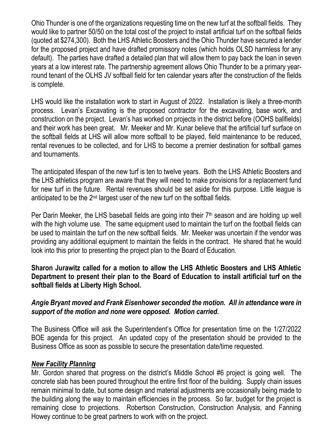Ohio Thunder is one of the organizations requesting time on the new turf at the softball fields. They would like to partner 50/50 on the total cost of the project to install artificial turf on the softball fields (quoted at \$274,300). Both the LHS Athletic Boosters and the Ohio Thunder have secured a lender for the proposed project and have drafted promissory notes (which holds OLSD harmless for any default). The parties have drafted a detailed plan that will allow them to pay back the loan in seven years at a low interest rate. The partnership agreement allows Ohio Thunder to be a primary yearround tenant of the OLHS JV softball field for ten calendar years after the construction of the fields is complete.

LHS would like the installation work to start in August of 2022. Installation is likely a three-month process. Levan's Excavating is the proposed contractor for the excavating, base work, and construction on the project. Levan's has worked on projects in the district before (OOHS ballfields) and their work has been great. Mr. Meeker and Mr. Kunar believe that the artificial turf surface on the softball fields at LHS will allow more softball to be played, field maintenance to be reduced, rental revenues to be collected, and for LHS to become a premier destination for softball games and tournaments.

The anticipated lifespan of the new turf is ten to twelve years. Both the LHS Athletic Boosters and the LHS athletics program are aware that they will need to make provisions for a replacement fund for new turf in the future. Rental revenues should be set aside for this purpose. Little league is anticipated to be the 2nd largest user of the new turf on the softball fields.

Per Darin Meeker, the LHS baseball fields are going into their  $7<sup>th</sup>$  season and are holding up well with the high volume use. The same equipment used to maintain the turf on the football fields can be used to maintain the turf on the new softball fields. Mr. Meeker was uncertain if the vendor was providing any additional equipment to maintain the fields in the contract. He shared that he would look into this prior to presenting the project plan to the Board of Education.

**Sharon Jurawitz called for a motion to allow the LHS Athletic Boosters and LHS Athletic Department to present their plan to the Board of Education to install artificial turf on the softball fields at Liberty High School.**

## *Angie Bryant moved and Frank Eisenhower seconded the motion. All in attendance were in support of the motion and none were opposed. Motion carried.*

The Business Office will ask the Superintendent's Office for presentation time on the 1/27/2022 BOE agenda for this project. An updated copy of the presentation should be provided to the Business Office as soon as possible to secure the presentation date/time requested.

#### *New Facility Planning*

Mr. Gordon shared that progress on the district's Middle School #6 project is going well. The concrete slab has been poured throughout the entire first floor of the building. Supply chain issues remain minimal to date, but some design and material adjustments are occasionally being made to the building along the way to maintain efficiencies in the process. So far, budget for the project is remaining close to projections. Robertson Construction, Construction Analysis, and Fanning Howey continue to be great partners to work with on the project.